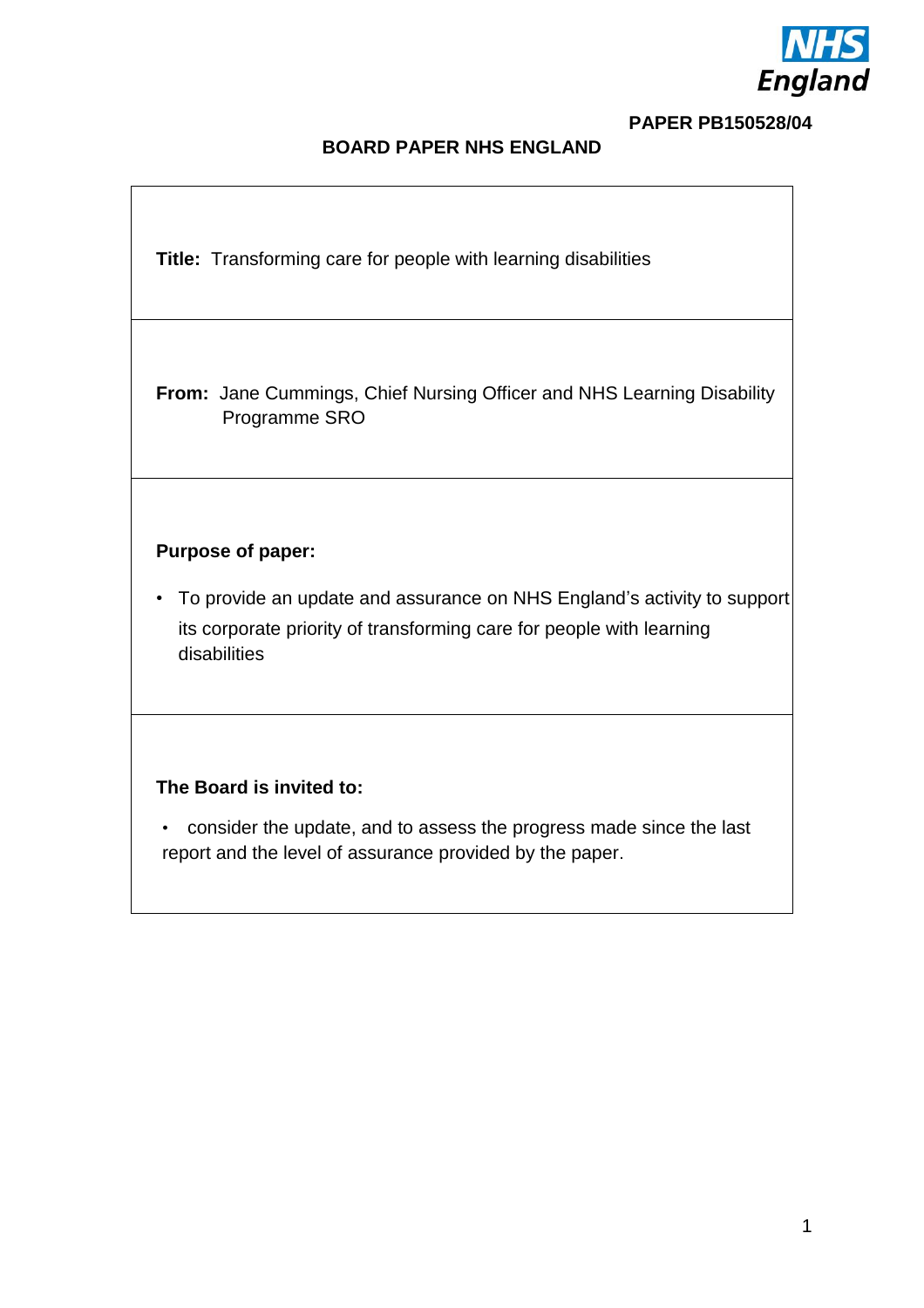

#### **PAPER PB150528/04**

## **BOARD PAPER NHS ENGLAND**

**Title:** Transforming care for people with learning disabilities

**From:** Jane Cummings, Chief Nursing Officer and NHS Learning Disability Programme SRO

#### **Purpose of paper:**

• To provide an update and assurance on NHS England's activity to support its corporate priority of transforming care for people with learning disabilities

### **The Board is invited to:**

• consider the update, and to assess the progress made since the last report and the level of assurance provided by the paper.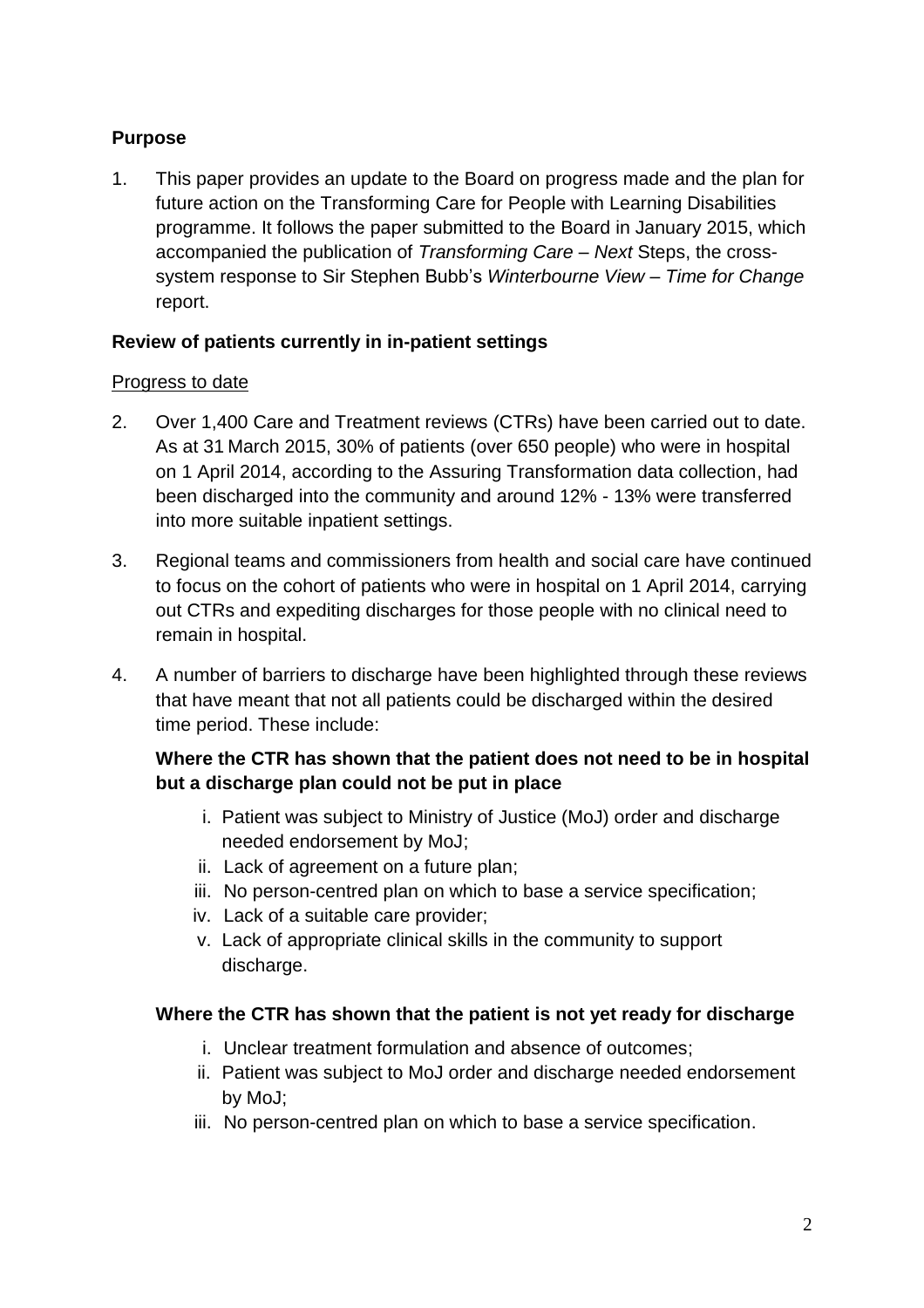# **Purpose**

1. This paper provides an update to the Board on progress made and the plan for future action on the Transforming Care for People with Learning Disabilities programme. It follows the paper submitted to the Board in January 2015, which accompanied the publication of *Transforming Care – Next* Steps, the crosssystem response to Sir Stephen Bubb's *Winterbourne View – Time for Change*  report.

# **Review of patients currently in in-patient settings**

### Progress to date

- 2. Over 1,400 Care and Treatment reviews (CTRs) have been carried out to date. As at 31 March 2015, 30% of patients (over 650 people) who were in hospital on 1 April 2014, according to the Assuring Transformation data collection, had been discharged into the community and around 12% - 13% were transferred into more suitable inpatient settings.
- 3. Regional teams and commissioners from health and social care have continued to focus on the cohort of patients who were in hospital on 1 April 2014, carrying out CTRs and expediting discharges for those people with no clinical need to remain in hospital.
- 4. A number of barriers to discharge have been highlighted through these reviews that have meant that not all patients could be discharged within the desired time period. These include:

# **Where the CTR has shown that the patient does not need to be in hospital but a discharge plan could not be put in place**

- i. Patient was subject to Ministry of Justice (MoJ) order and discharge needed endorsement by MoJ;
- ii. Lack of agreement on a future plan;
- iii. No person-centred plan on which to base a service specification;
- iv. Lack of a suitable care provider;
- v. Lack of appropriate clinical skills in the community to support discharge.

# **Where the CTR has shown that the patient is not yet ready for discharge**

- i. Unclear treatment formulation and absence of outcomes;
- ii. Patient was subject to MoJ order and discharge needed endorsement by MoJ;
- iii. No person-centred plan on which to base a service specification.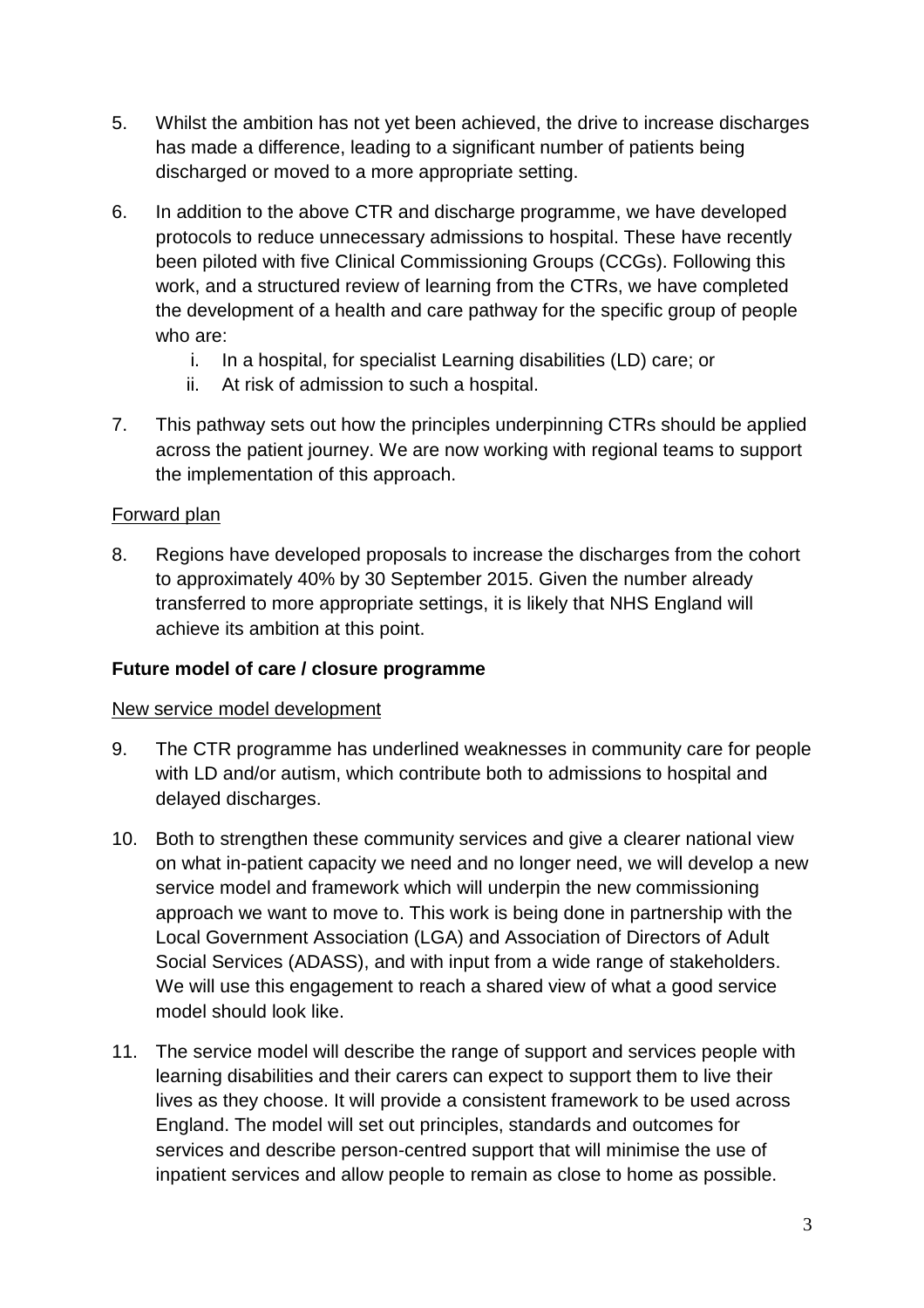- 5. Whilst the ambition has not yet been achieved, the drive to increase discharges has made a difference, leading to a significant number of patients being discharged or moved to a more appropriate setting.
- 6. In addition to the above CTR and discharge programme, we have developed protocols to reduce unnecessary admissions to hospital. These have recently been piloted with five Clinical Commissioning Groups (CCGs). Following this work, and a structured review of learning from the CTRs, we have completed the development of a health and care pathway for the specific group of people who are:
	- i. In a hospital, for specialist Learning disabilities (LD) care; or
	- ii. At risk of admission to such a hospital.
- 7. This pathway sets out how the principles underpinning CTRs should be applied across the patient journey. We are now working with regional teams to support the implementation of this approach.

## Forward plan

8. Regions have developed proposals to increase the discharges from the cohort to approximately 40% by 30 September 2015. Given the number already transferred to more appropriate settings, it is likely that NHS England will achieve its ambition at this point.

### **Future model of care / closure programme**

### New service model development

- 9. The CTR programme has underlined weaknesses in community care for people with LD and/or autism, which contribute both to admissions to hospital and delayed discharges.
- 10. Both to strengthen these community services and give a clearer national view on what in-patient capacity we need and no longer need, we will develop a new service model and framework which will underpin the new commissioning approach we want to move to. This work is being done in partnership with the Local Government Association (LGA) and Association of Directors of Adult Social Services (ADASS), and with input from a wide range of stakeholders. We will use this engagement to reach a shared view of what a good service model should look like.
- 11. The service model will describe the range of support and services people with learning disabilities and their carers can expect to support them to live their lives as they choose. It will provide a consistent framework to be used across England. The model will set out principles, standards and outcomes for services and describe person-centred support that will minimise the use of inpatient services and allow people to remain as close to home as possible.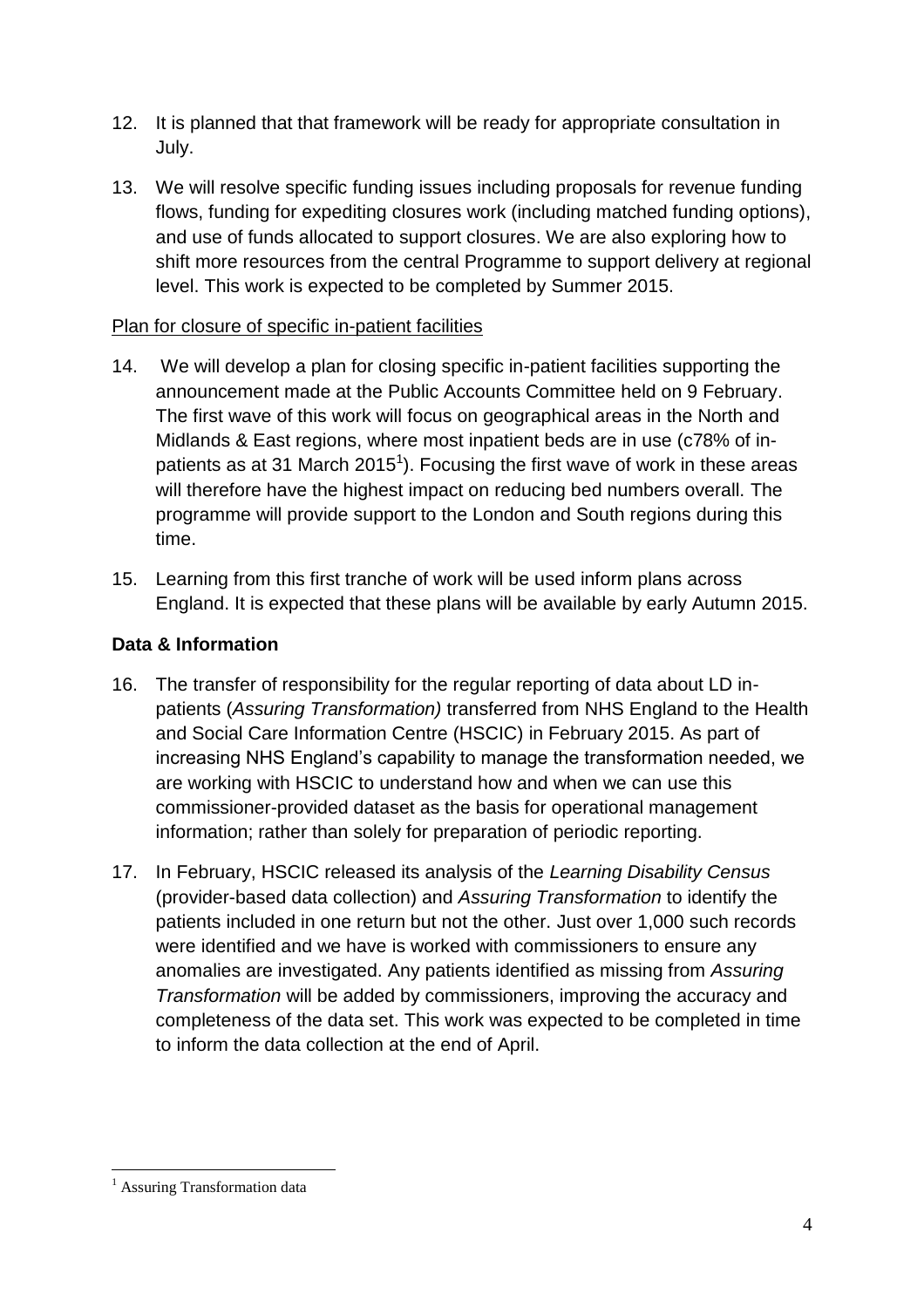- 12. It is planned that that framework will be ready for appropriate consultation in July.
- 13. We will resolve specific funding issues including proposals for revenue funding flows, funding for expediting closures work (including matched funding options), and use of funds allocated to support closures. We are also exploring how to shift more resources from the central Programme to support delivery at regional level. This work is expected to be completed by Summer 2015.

### Plan for closure of specific in-patient facilities

- 14. We will develop a plan for closing specific in-patient facilities supporting the announcement made at the Public Accounts Committee held on 9 February. The first wave of this work will focus on geographical areas in the North and Midlands & East regions, where most inpatient beds are in use (c78% of inpatients as at 31 March 2015<sup>1</sup>). Focusing the first wave of work in these areas will therefore have the highest impact on reducing bed numbers overall. The programme will provide support to the London and South regions during this time.
- 15. Learning from this first tranche of work will be used inform plans across England. It is expected that these plans will be available by early Autumn 2015.

### **Data & Information**

- 16. The transfer of responsibility for the regular reporting of data about LD inpatients (*Assuring Transformation)* transferred from NHS England to the Health and Social Care Information Centre (HSCIC) in February 2015. As part of increasing NHS England's capability to manage the transformation needed, we are working with HSCIC to understand how and when we can use this commissioner-provided dataset as the basis for operational management information; rather than solely for preparation of periodic reporting.
- 17. In February, HSCIC released its analysis of the *Learning Disability Census*  (provider-based data collection) and *Assuring Transformation* to identify the patients included in one return but not the other. Just over 1,000 such records were identified and we have is worked with commissioners to ensure any anomalies are investigated. Any patients identified as missing from *Assuring Transformation* will be added by commissioners, improving the accuracy and completeness of the data set. This work was expected to be completed in time to inform the data collection at the end of April.

 $\overline{a}$ <sup>1</sup> Assuring Transformation data